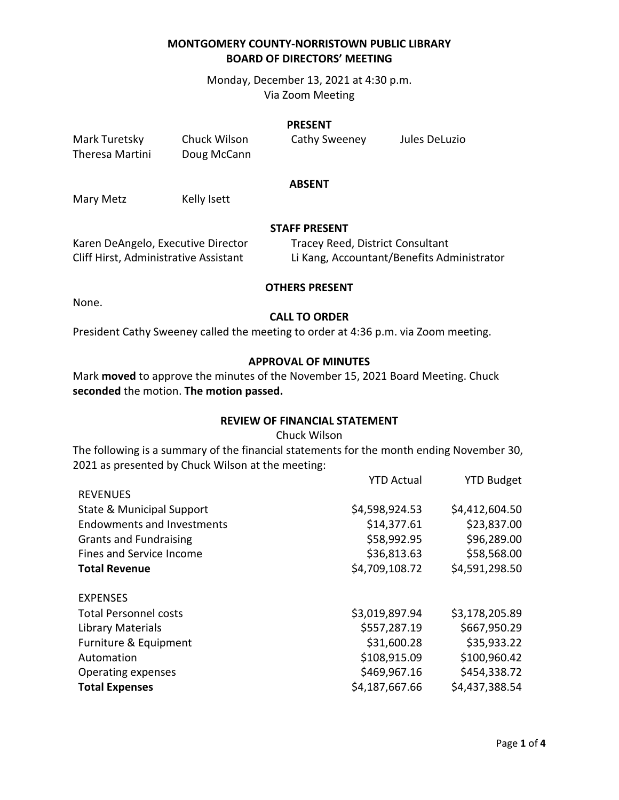Monday, December 13, 2021 at 4:30 p.m. Via Zoom Meeting

#### **PRESENT**

| Mark Turetsky   | Chuck Wilson | Cathy Sweeney | Jules DeLuzio |
|-----------------|--------------|---------------|---------------|
| Theresa Martini | Doug McCann  |               |               |

## **ABSENT**

Mary Metz Kelly Isett

## **STAFF PRESENT**

| Karen DeAngelo, Executive Director    | Tracey Reed, District Consultant           |
|---------------------------------------|--------------------------------------------|
| Cliff Hirst, Administrative Assistant | Li Kang, Accountant/Benefits Administrator |

#### **OTHERS PRESENT**

None.

## **CALL TO ORDER**

President Cathy Sweeney called the meeting to order at 4:36 p.m. via Zoom meeting.

## **APPROVAL OF MINUTES**

Mark **moved** to approve the minutes of the November 15, 2021 Board Meeting. Chuck **seconded** the motion. **The motion passed.**

### **REVIEW OF FINANCIAL STATEMENT**

#### Chuck Wilson

The following is a summary of the financial statements for the month ending November 30, 2021 as presented by Chuck Wilson at the meeting:

|                                   | <b>YTD Actual</b> | <b>YTD Budget</b> |
|-----------------------------------|-------------------|-------------------|
| <b>REVENUES</b>                   |                   |                   |
| State & Municipal Support         | \$4,598,924.53    | \$4,412,604.50    |
| <b>Endowments and Investments</b> | \$14,377.61       | \$23,837.00       |
| <b>Grants and Fundraising</b>     | \$58,992.95       | \$96,289.00       |
| Fines and Service Income          | \$36,813.63       | \$58,568.00       |
| <b>Total Revenue</b>              | \$4,709,108.72    | \$4,591,298.50    |
| <b>EXPENSES</b>                   |                   |                   |
| <b>Total Personnel costs</b>      | \$3,019,897.94    | \$3,178,205.89    |
| <b>Library Materials</b>          | \$557,287.19      | \$667,950.29      |
| Furniture & Equipment             | \$31,600.28       | \$35,933.22       |
| Automation                        | \$108,915.09      | \$100,960.42      |
| Operating expenses                | \$469,967.16      | \$454,338.72      |
| <b>Total Expenses</b>             | \$4,187,667.66    | \$4,437,388.54    |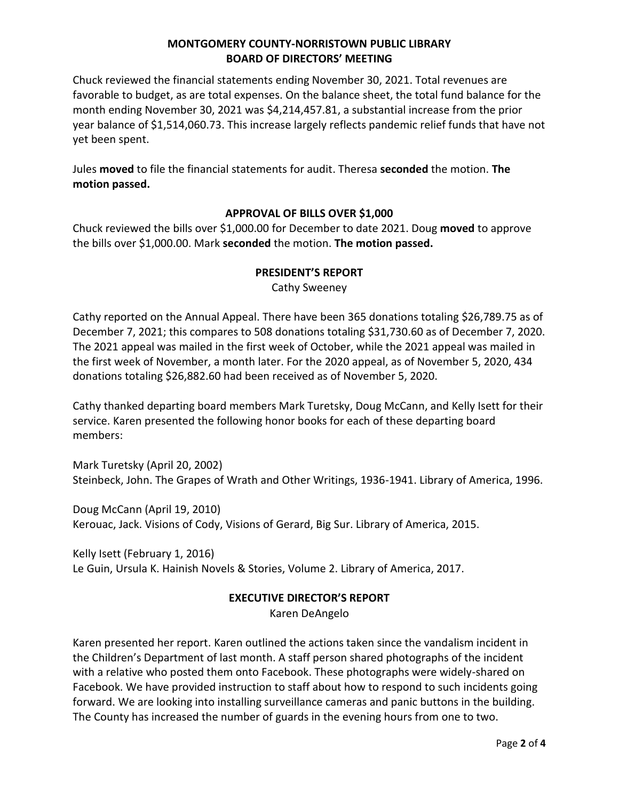Chuck reviewed the financial statements ending November 30, 2021. Total revenues are favorable to budget, as are total expenses. On the balance sheet, the total fund balance for the month ending November 30, 2021 was \$4,214,457.81, a substantial increase from the prior year balance of \$1,514,060.73. This increase largely reflects pandemic relief funds that have not yet been spent.

Jules **moved** to file the financial statements for audit. Theresa **seconded** the motion. **The motion passed.** 

## **APPROVAL OF BILLS OVER \$1,000**

Chuck reviewed the bills over \$1,000.00 for December to date 2021. Doug **moved** to approve the bills over \$1,000.00. Mark **seconded** the motion. **The motion passed.**

## **PRESIDENT'S REPORT**

Cathy Sweeney

Cathy reported on the Annual Appeal. There have been 365 donations totaling \$26,789.75 as of December 7, 2021; this compares to 508 donations totaling \$31,730.60 as of December 7, 2020. The 2021 appeal was mailed in the first week of October, while the 2021 appeal was mailed in the first week of November, a month later. For the 2020 appeal, as of November 5, 2020, 434 donations totaling \$26,882.60 had been received as of November 5, 2020.

Cathy thanked departing board members Mark Turetsky, Doug McCann, and Kelly Isett for their service. Karen presented the following honor books for each of these departing board members:

Mark Turetsky (April 20, 2002) Steinbeck, John. The Grapes of Wrath and Other Writings, 1936-1941. Library of America, 1996.

Doug McCann (April 19, 2010) Kerouac, Jack. Visions of Cody, Visions of Gerard, Big Sur. Library of America, 2015.

Kelly Isett (February 1, 2016) Le Guin, Ursula K. Hainish Novels & Stories, Volume 2. Library of America, 2017.

## **EXECUTIVE DIRECTOR'S REPORT**

Karen DeAngelo

Karen presented her report. Karen outlined the actions taken since the vandalism incident in the Children's Department of last month. A staff person shared photographs of the incident with a relative who posted them onto Facebook. These photographs were widely-shared on Facebook. We have provided instruction to staff about how to respond to such incidents going forward. We are looking into installing surveillance cameras and panic buttons in the building. The County has increased the number of guards in the evening hours from one to two.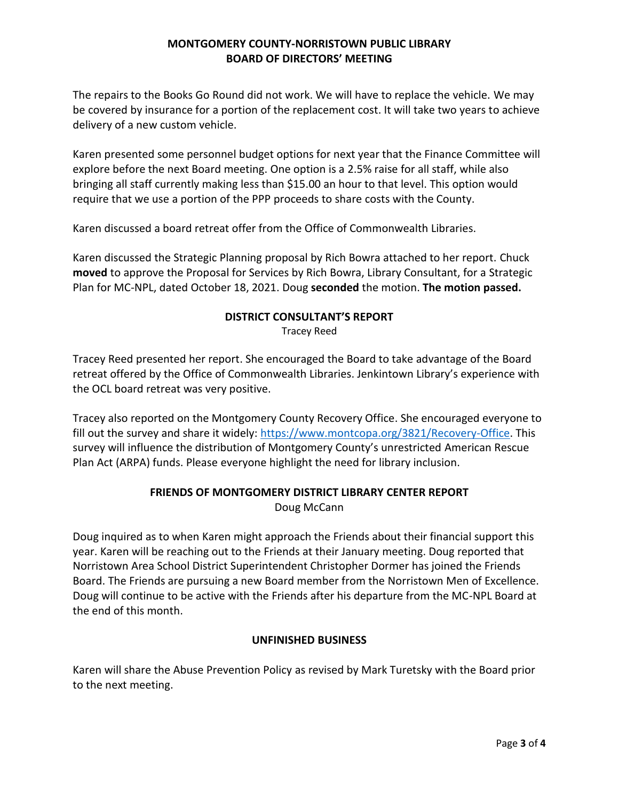The repairs to the Books Go Round did not work. We will have to replace the vehicle. We may be covered by insurance for a portion of the replacement cost. It will take two years to achieve delivery of a new custom vehicle.

Karen presented some personnel budget options for next year that the Finance Committee will explore before the next Board meeting. One option is a 2.5% raise for all staff, while also bringing all staff currently making less than \$15.00 an hour to that level. This option would require that we use a portion of the PPP proceeds to share costs with the County.

Karen discussed a board retreat offer from the Office of Commonwealth Libraries.

Karen discussed the Strategic Planning proposal by Rich Bowra attached to her report. Chuck **moved** to approve the Proposal for Services by Rich Bowra, Library Consultant, for a Strategic Plan for MC-NPL, dated October 18, 2021. Doug **seconded** the motion. **The motion passed.**

## **DISTRICT CONSULTANT'S REPORT** Tracey Reed

Tracey Reed presented her report. She encouraged the Board to take advantage of the Board retreat offered by the Office of Commonwealth Libraries. Jenkintown Library's experience with the OCL board retreat was very positive.

Tracey also reported on the Montgomery County Recovery Office. She encouraged everyone to fill out the survey and share it widely: [https://www.montcopa.org/3821/Recovery-Office.](https://www.montcopa.org/3821/Recovery-Office) This survey will influence the distribution of Montgomery County's unrestricted American Rescue Plan Act (ARPA) funds. Please everyone highlight the need for library inclusion.

# **FRIENDS OF MONTGOMERY DISTRICT LIBRARY CENTER REPORT**

Doug McCann

Doug inquired as to when Karen might approach the Friends about their financial support this year. Karen will be reaching out to the Friends at their January meeting. Doug reported that Norristown Area School District Superintendent Christopher Dormer has joined the Friends Board. The Friends are pursuing a new Board member from the Norristown Men of Excellence. Doug will continue to be active with the Friends after his departure from the MC-NPL Board at the end of this month.

## **UNFINISHED BUSINESS**

Karen will share the Abuse Prevention Policy as revised by Mark Turetsky with the Board prior to the next meeting.